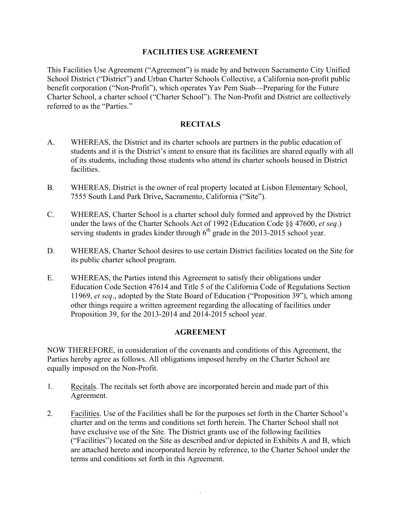# **FACILITIES USE AGREEMENT**

This Facilities Use Agreement ("Agreement") is made by and between Sacramento City Unified School District ("District") and Urban Charter Schools Collective, a California non-profit public benefit corporation ("Non-Profit"), which operates Yav Pem Suab—Preparing for the Future Charter School, a charter school ("Charter School"). The Non-Profit and District are collectively referred to as the "Parties."

# **RECITALS**

- A. WHEREAS, the District and its charter schools are partners in the public education of students and it is the District's intent to ensure that its facilities are shared equally with all of its students, including those students who attend its charter schools housed in District facilities.
- B. WHEREAS, District is the owner of real property located at Lisbon Elementary School, 7555 South Land Park Drive**,** Sacramento, California ("Site").
- C. WHEREAS, Charter School is a charter school duly formed and approved by the District under the laws of the Charter Schools Act of 1992 (Education Code §§ 47600, *et seq*.) serving students in grades kinder through  $6<sup>th</sup>$  grade in the 2013-2015 school year.
- D. WHEREAS, Charter School desires to use certain District facilities located on the Site for its public charter school program.
- E. WHEREAS, the Parties intend this Agreement to satisfy their obligations under Education Code Section 47614 and Title 5 of the California Code of Regulations Section 11969, *et seq*., adopted by the State Board of Education ("Proposition 39"), which among other things require a written agreement regarding the allocating of facilities under Proposition 39, for the 2013-2014 and 2014-2015 school year.

# **AGREEMENT**

NOW THEREFORE, in consideration of the covenants and conditions of this Agreement, the Parties hereby agree as follows. All obligations imposed hereby on the Charter School are equally imposed on the Non-Profit.

- 1. Recitals. The recitals set forth above are incorporated herein and made part of this Agreement.
- 2. Facilities. Use of the Facilities shall be for the purposes set forth in the Charter School's charter and on the terms and conditions set forth herein. The Charter School shall not have exclusive use of the Site. The District grants use of the following facilities ("Facilities") located on the Site as described and/or depicted in Exhibits A and B, which are attached hereto and incorporated herein by reference, to the Charter School under the terms and conditions set forth in this Agreement.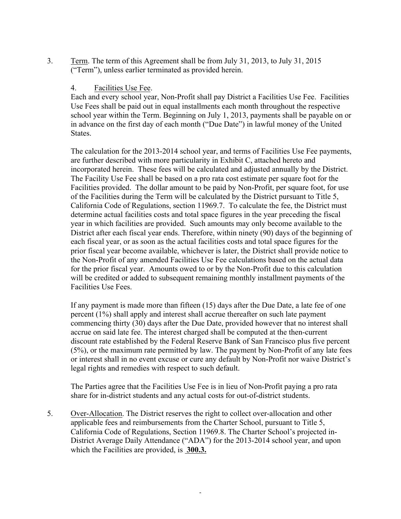3. Term. The term of this Agreement shall be from July 31, 2013, to July 31, 2015 ("Term"), unless earlier terminated as provided herein.

# 4. Facilities Use Fee.

Each and every school year, Non-Profit shall pay District a Facilities Use Fee. Facilities Use Fees shall be paid out in equal installments each month throughout the respective school year within the Term. Beginning on July 1, 2013, payments shall be payable on or in advance on the first day of each month ("Due Date") in lawful money of the United States.

The calculation for the 2013-2014 school year, and terms of Facilities Use Fee payments, are further described with more particularity in Exhibit C, attached hereto and incorporated herein. These fees will be calculated and adjusted annually by the District. The Facility Use Fee shall be based on a pro rata cost estimate per square foot for the Facilities provided. The dollar amount to be paid by Non-Profit, per square foot, for use of the Facilities during the Term will be calculated by the District pursuant to Title 5, California Code of Regulations, section 11969.7. To calculate the fee, the District must determine actual facilities costs and total space figures in the year preceding the fiscal year in which facilities are provided. Such amounts may only become available to the District after each fiscal year ends. Therefore, within ninety (90) days of the beginning of each fiscal year, or as soon as the actual facilities costs and total space figures for the prior fiscal year become available, whichever is later, the District shall provide notice to the Non-Profit of any amended Facilities Use Fee calculations based on the actual data for the prior fiscal year. Amounts owed to or by the Non-Profit due to this calculation will be credited or added to subsequent remaining monthly installment payments of the Facilities Use Fees.

If any payment is made more than fifteen (15) days after the Due Date, a late fee of one percent (1%) shall apply and interest shall accrue thereafter on such late payment commencing thirty (30) days after the Due Date, provided however that no interest shall accrue on said late fee. The interest charged shall be computed at the then-current discount rate established by the Federal Reserve Bank of San Francisco plus five percent (5%), or the maximum rate permitted by law. The payment by Non-Profit of any late fees or interest shall in no event excuse or cure any default by Non-Profit nor waive District's legal rights and remedies with respect to such default.

The Parties agree that the Facilities Use Fee is in lieu of Non-Profit paying a pro rata share for in-district students and any actual costs for out-of-district students.

5. Over-Allocation. The District reserves the right to collect over-allocation and other applicable fees and reimbursements from the Charter School, pursuant to Title 5, California Code of Regulations, Section 11969.8. The Charter School's projected in-District Average Daily Attendance ("ADA") for the 2013-2014 school year, and upon which the Facilities are provided, is **300.3.**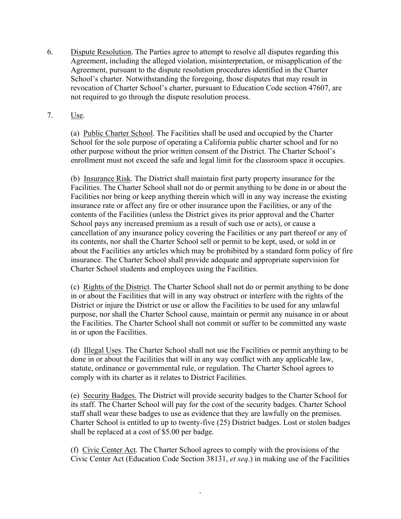- 6. Dispute Resolution. The Parties agree to attempt to resolve all disputes regarding this Agreement, including the alleged violation, misinterpretation, or misapplication of the Agreement, pursuant to the dispute resolution procedures identified in the Charter School's charter. Notwithstanding the foregoing, those disputes that may result in revocation of Charter School's charter, pursuant to Education Code section 47607, are not required to go through the dispute resolution process.
- 7. Use.

(a) Public Charter School. The Facilities shall be used and occupied by the Charter School for the sole purpose of operating a California public charter school and for no other purpose without the prior written consent of the District. The Charter School's enrollment must not exceed the safe and legal limit for the classroom space it occupies.

(b) Insurance Risk. The District shall maintain first party property insurance for the Facilities. The Charter School shall not do or permit anything to be done in or about the Facilities nor bring or keep anything therein which will in any way increase the existing insurance rate or affect any fire or other insurance upon the Facilities, or any of the contents of the Facilities (unless the District gives its prior approval and the Charter School pays any increased premium as a result of such use or acts), or cause a cancellation of any insurance policy covering the Facilities or any part thereof or any of its contents, nor shall the Charter School sell or permit to be kept, used, or sold in or about the Facilities any articles which may be prohibited by a standard form policy of fire insurance. The Charter School shall provide adequate and appropriate supervision for Charter School students and employees using the Facilities.

(c) Rights of the District. The Charter School shall not do or permit anything to be done in or about the Facilities that will in any way obstruct or interfere with the rights of the District or injure the District or use or allow the Facilities to be used for any unlawful purpose, nor shall the Charter School cause, maintain or permit any nuisance in or about the Facilities. The Charter School shall not commit or suffer to be committed any waste in or upon the Facilities.

(d) Illegal Uses. The Charter School shall not use the Facilities or permit anything to be done in or about the Facilities that will in any way conflict with any applicable law, statute, ordinance or governmental rule, or regulation. The Charter School agrees to comply with its charter as it relates to District Facilities.

(e) Security Badges. The District will provide security badges to the Charter School for its staff. The Charter School will pay for the cost of the security badges. Charter School staff shall wear these badges to use as evidence that they are lawfully on the premises. Charter School is entitled to up to twenty-five (25) District badges. Lost or stolen badges shall be replaced at a cost of \$5.00 per badge.

(f) Civic Center Act. The Charter School agrees to comply with the provisions of the Civic Center Act (Education Code Section 38131, *et seq*.) in making use of the Facilities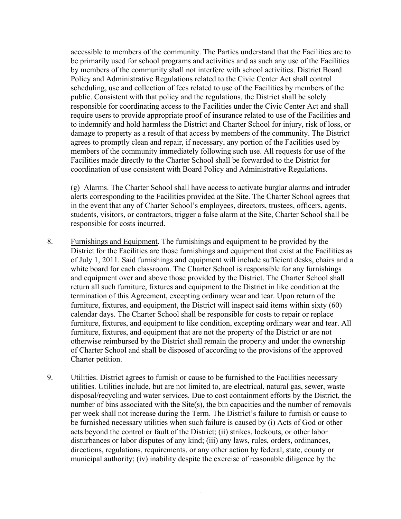accessible to members of the community. The Parties understand that the Facilities are to be primarily used for school programs and activities and as such any use of the Facilities by members of the community shall not interfere with school activities. District Board Policy and Administrative Regulations related to the Civic Center Act shall control scheduling, use and collection of fees related to use of the Facilities by members of the public. Consistent with that policy and the regulations, the District shall be solely responsible for coordinating access to the Facilities under the Civic Center Act and shall require users to provide appropriate proof of insurance related to use of the Facilities and to indemnify and hold harmless the District and Charter School for injury, risk of loss, or damage to property as a result of that access by members of the community. The District agrees to promptly clean and repair, if necessary, any portion of the Facilities used by members of the community immediately following such use. All requests for use of the Facilities made directly to the Charter School shall be forwarded to the District for coordination of use consistent with Board Policy and Administrative Regulations.

(g) Alarms. The Charter School shall have access to activate burglar alarms and intruder alerts corresponding to the Facilities provided at the Site. The Charter School agrees that in the event that any of Charter School's employees, directors, trustees, officers, agents, students, visitors, or contractors, trigger a false alarm at the Site, Charter School shall be responsible for costs incurred.

- 8. Furnishings and Equipment. The furnishings and equipment to be provided by the District for the Facilities are those furnishings and equipment that exist at the Facilities as of July 1, 2011. Said furnishings and equipment will include sufficient desks, chairs and a white board for each classroom. The Charter School is responsible for any furnishings and equipment over and above those provided by the District. The Charter School shall return all such furniture, fixtures and equipment to the District in like condition at the termination of this Agreement, excepting ordinary wear and tear. Upon return of the furniture, fixtures, and equipment, the District will inspect said items within sixty (60) calendar days. The Charter School shall be responsible for costs to repair or replace furniture, fixtures, and equipment to like condition, excepting ordinary wear and tear. All furniture, fixtures, and equipment that are not the property of the District or are not otherwise reimbursed by the District shall remain the property and under the ownership of Charter School and shall be disposed of according to the provisions of the approved Charter petition.
- 9. Utilities. District agrees to furnish or cause to be furnished to the Facilities necessary utilities. Utilities include, but are not limited to, are electrical, natural gas, sewer, waste disposal/recycling and water services. Due to cost containment efforts by the District, the number of bins associated with the Site(s), the bin capacities and the number of removals per week shall not increase during the Term. The District's failure to furnish or cause to be furnished necessary utilities when such failure is caused by (i) Acts of God or other acts beyond the control or fault of the District; (ii) strikes, lockouts, or other labor disturbances or labor disputes of any kind; (iii) any laws, rules, orders, ordinances, directions, regulations, requirements, or any other action by federal, state, county or municipal authority; (iv) inability despite the exercise of reasonable diligence by the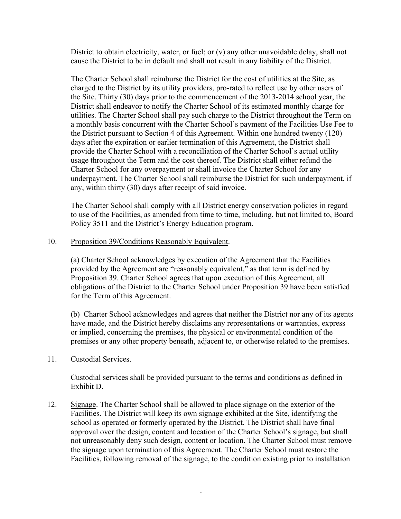District to obtain electricity, water, or fuel; or (v) any other unavoidable delay, shall not cause the District to be in default and shall not result in any liability of the District.

The Charter School shall reimburse the District for the cost of utilities at the Site, as charged to the District by its utility providers, pro-rated to reflect use by other users of the Site. Thirty (30) days prior to the commencement of the 2013-2014 school year, the District shall endeavor to notify the Charter School of its estimated monthly charge for utilities. The Charter School shall pay such charge to the District throughout the Term on a monthly basis concurrent with the Charter School's payment of the Facilities Use Fee to the District pursuant to Section 4 of this Agreement. Within one hundred twenty (120) days after the expiration or earlier termination of this Agreement, the District shall provide the Charter School with a reconciliation of the Charter School's actual utility usage throughout the Term and the cost thereof. The District shall either refund the Charter School for any overpayment or shall invoice the Charter School for any underpayment. The Charter School shall reimburse the District for such underpayment, if any, within thirty (30) days after receipt of said invoice.

The Charter School shall comply with all District energy conservation policies in regard to use of the Facilities, as amended from time to time, including, but not limited to, Board Policy 3511 and the District's Energy Education program.

#### 10. Proposition 39/Conditions Reasonably Equivalent.

(a) Charter School acknowledges by execution of the Agreement that the Facilities provided by the Agreement are "reasonably equivalent," as that term is defined by Proposition 39. Charter School agrees that upon execution of this Agreement, all obligations of the District to the Charter School under Proposition 39 have been satisfied for the Term of this Agreement.

(b) Charter School acknowledges and agrees that neither the District nor any of its agents have made, and the District hereby disclaims any representations or warranties, express or implied, concerning the premises, the physical or environmental condition of the premises or any other property beneath, adjacent to, or otherwise related to the premises.

#### 11. Custodial Services.

Custodial services shall be provided pursuant to the terms and conditions as defined in Exhibit D.

12. Signage. The Charter School shall be allowed to place signage on the exterior of the Facilities. The District will keep its own signage exhibited at the Site, identifying the school as operated or formerly operated by the District. The District shall have final approval over the design, content and location of the Charter School's signage, but shall not unreasonably deny such design, content or location. The Charter School must remove the signage upon termination of this Agreement. The Charter School must restore the Facilities, following removal of the signage, to the condition existing prior to installation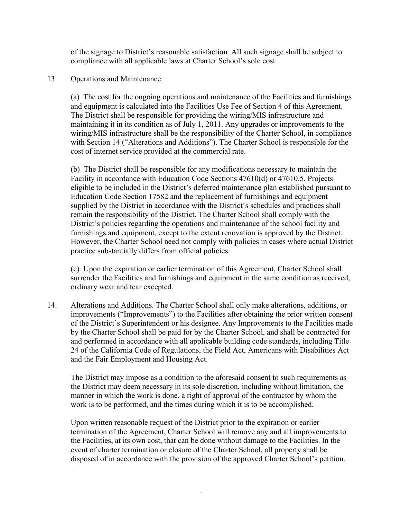of the signage to District's reasonable satisfaction. All such signage shall be subject to compliance with all applicable laws at Charter School's sole cost.

## 13. Operations and Maintenance.

(a) The cost for the ongoing operations and maintenance of the Facilities and furnishings and equipment is calculated into the Facilities Use Fee of Section 4 of this Agreement. The District shall be responsible for providing the wiring/MIS infrastructure and maintaining it in its condition as of July 1, 2011. Any upgrades or improvements to the wiring/MIS infrastructure shall be the responsibility of the Charter School, in compliance with Section 14 ("Alterations and Additions"). The Charter School is responsible for the cost of internet service provided at the commercial rate.

(b) The District shall be responsible for any modifications necessary to maintain the Facility in accordance with Education Code Sections 47610(d) or 47610.5. Projects eligible to be included in the District's deferred maintenance plan established pursuant to Education Code Section 17582 and the replacement of furnishings and equipment supplied by the District in accordance with the District's schedules and practices shall remain the responsibility of the District. The Charter School shall comply with the District's policies regarding the operations and maintenance of the school facility and furnishings and equipment, except to the extent renovation is approved by the District. However, the Charter School need not comply with policies in cases where actual District practice substantially differs from official policies.

(c) Upon the expiration or earlier termination of this Agreement, Charter School shall surrender the Facilities and furnishings and equipment in the same condition as received, ordinary wear and tear excepted.

14. Alterations and Additions. The Charter School shall only make alterations, additions, or improvements ("Improvements") to the Facilities after obtaining the prior written consent of the District's Superintendent or his designee. Any Improvements to the Facilities made by the Charter School shall be paid for by the Charter School, and shall be contracted for and performed in accordance with all applicable building code standards, including Title 24 of the California Code of Regulations, the Field Act, Americans with Disabilities Act and the Fair Employment and Housing Act.

The District may impose as a condition to the aforesaid consent to such requirements as the District may deem necessary in its sole discretion, including without limitation, the manner in which the work is done, a right of approval of the contractor by whom the work is to be performed, and the times during which it is to be accomplished.

Upon written reasonable request of the District prior to the expiration or earlier termination of the Agreement, Charter School will remove any and all improvements to the Facilities, at its own cost, that can be done without damage to the Facilities. In the event of charter termination or closure of the Charter School, all property shall be disposed of in accordance with the provision of the approved Charter School's petition.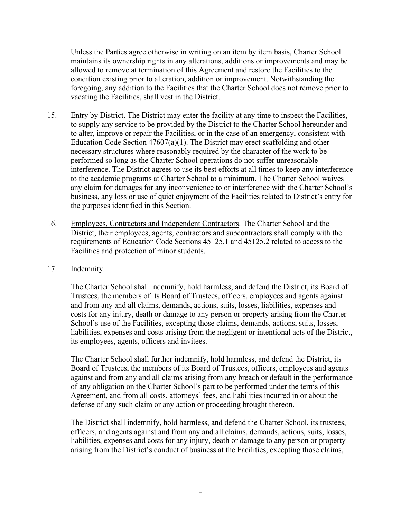Unless the Parties agree otherwise in writing on an item by item basis, Charter School maintains its ownership rights in any alterations, additions or improvements and may be allowed to remove at termination of this Agreement and restore the Facilities to the condition existing prior to alteration, addition or improvement. Notwithstanding the foregoing, any addition to the Facilities that the Charter School does not remove prior to vacating the Facilities, shall vest in the District.

- 15. Entry by District. The District may enter the facility at any time to inspect the Facilities, to supply any service to be provided by the District to the Charter School hereunder and to alter, improve or repair the Facilities, or in the case of an emergency, consistent with Education Code Section 47607(a)(1). The District may erect scaffolding and other necessary structures where reasonably required by the character of the work to be performed so long as the Charter School operations do not suffer unreasonable interference. The District agrees to use its best efforts at all times to keep any interference to the academic programs at Charter School to a minimum. The Charter School waives any claim for damages for any inconvenience to or interference with the Charter School's business, any loss or use of quiet enjoyment of the Facilities related to District's entry for the purposes identified in this Section.
- 16. Employees, Contractors and Independent Contractors. The Charter School and the District, their employees, agents, contractors and subcontractors shall comply with the requirements of Education Code Sections 45125.1 and 45125.2 related to access to the Facilities and protection of minor students.

#### 17. Indemnity.

The Charter School shall indemnify, hold harmless, and defend the District, its Board of Trustees, the members of its Board of Trustees, officers, employees and agents against and from any and all claims, demands, actions, suits, losses, liabilities, expenses and costs for any injury, death or damage to any person or property arising from the Charter School's use of the Facilities, excepting those claims, demands, actions, suits, losses, liabilities, expenses and costs arising from the negligent or intentional acts of the District, its employees, agents, officers and invitees.

The Charter School shall further indemnify, hold harmless, and defend the District, its Board of Trustees, the members of its Board of Trustees, officers, employees and agents against and from any and all claims arising from any breach or default in the performance of any obligation on the Charter School's part to be performed under the terms of this Agreement, and from all costs, attorneys' fees, and liabilities incurred in or about the defense of any such claim or any action or proceeding brought thereon.

The District shall indemnify, hold harmless, and defend the Charter School, its trustees, officers, and agents against and from any and all claims, demands, actions, suits, losses, liabilities, expenses and costs for any injury, death or damage to any person or property arising from the District's conduct of business at the Facilities, excepting those claims,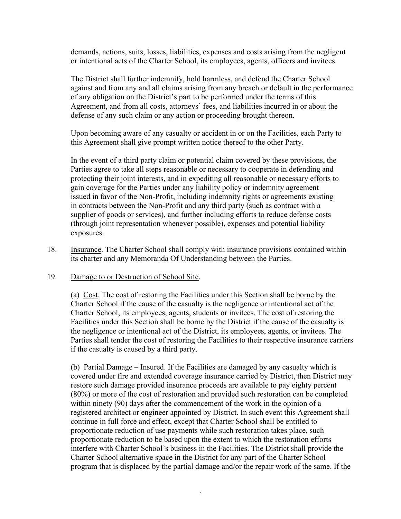demands, actions, suits, losses, liabilities, expenses and costs arising from the negligent or intentional acts of the Charter School, its employees, agents, officers and invitees.

The District shall further indemnify, hold harmless, and defend the Charter School against and from any and all claims arising from any breach or default in the performance of any obligation on the District's part to be performed under the terms of this Agreement, and from all costs, attorneys' fees, and liabilities incurred in or about the defense of any such claim or any action or proceeding brought thereon.

Upon becoming aware of any casualty or accident in or on the Facilities, each Party to this Agreement shall give prompt written notice thereof to the other Party.

In the event of a third party claim or potential claim covered by these provisions, the Parties agree to take all steps reasonable or necessary to cooperate in defending and protecting their joint interests, and in expediting all reasonable or necessary efforts to gain coverage for the Parties under any liability policy or indemnity agreement issued in favor of the Non-Profit, including indemnity rights or agreements existing in contracts between the Non-Profit and any third party (such as contract with a supplier of goods or services), and further including efforts to reduce defense costs (through joint representation whenever possible), expenses and potential liability exposures.

18. Insurance. The Charter School shall comply with insurance provisions contained within its charter and any Memoranda Of Understanding between the Parties.

#### 19. Damage to or Destruction of School Site.

(a) Cost. The cost of restoring the Facilities under this Section shall be borne by the Charter School if the cause of the casualty is the negligence or intentional act of the Charter School, its employees, agents, students or invitees. The cost of restoring the Facilities under this Section shall be borne by the District if the cause of the casualty is the negligence or intentional act of the District, its employees, agents, or invitees. The Parties shall tender the cost of restoring the Facilities to their respective insurance carriers if the casualty is caused by a third party.

(b) Partial Damage – Insured. If the Facilities are damaged by any casualty which is covered under fire and extended coverage insurance carried by District, then District may restore such damage provided insurance proceeds are available to pay eighty percent (80%) or more of the cost of restoration and provided such restoration can be completed within ninety (90) days after the commencement of the work in the opinion of a registered architect or engineer appointed by District. In such event this Agreement shall continue in full force and effect, except that Charter School shall be entitled to proportionate reduction of use payments while such restoration takes place, such proportionate reduction to be based upon the extent to which the restoration efforts interfere with Charter School's business in the Facilities. The District shall provide the Charter School alternative space in the District for any part of the Charter School program that is displaced by the partial damage and/or the repair work of the same. If the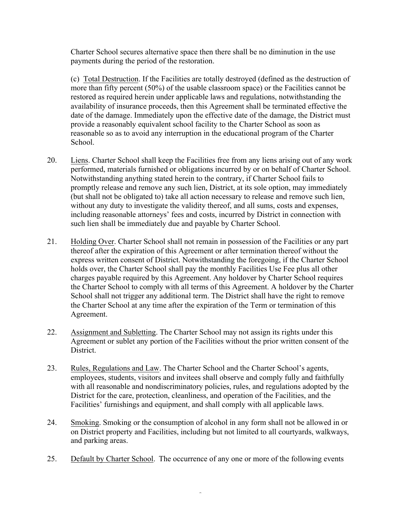Charter School secures alternative space then there shall be no diminution in the use payments during the period of the restoration.

(c) Total Destruction. If the Facilities are totally destroyed (defined as the destruction of more than fifty percent (50%) of the usable classroom space) or the Facilities cannot be restored as required herein under applicable laws and regulations, notwithstanding the availability of insurance proceeds, then this Agreement shall be terminated effective the date of the damage. Immediately upon the effective date of the damage, the District must provide a reasonably equivalent school facility to the Charter School as soon as reasonable so as to avoid any interruption in the educational program of the Charter School.

- 20. Liens. Charter School shall keep the Facilities free from any liens arising out of any work performed, materials furnished or obligations incurred by or on behalf of Charter School. Notwithstanding anything stated herein to the contrary, if Charter School fails to promptly release and remove any such lien, District, at its sole option, may immediately (but shall not be obligated to) take all action necessary to release and remove such lien, without any duty to investigate the validity thereof, and all sums, costs and expenses, including reasonable attorneys' fees and costs, incurred by District in connection with such lien shall be immediately due and payable by Charter School.
- 21. Holding Over. Charter School shall not remain in possession of the Facilities or any part thereof after the expiration of this Agreement or after termination thereof without the express written consent of District. Notwithstanding the foregoing, if the Charter School holds over, the Charter School shall pay the monthly Facilities Use Fee plus all other charges payable required by this Agreement. Any holdover by Charter School requires the Charter School to comply with all terms of this Agreement. A holdover by the Charter School shall not trigger any additional term. The District shall have the right to remove the Charter School at any time after the expiration of the Term or termination of this Agreement.
- 22. Assignment and Subletting. The Charter School may not assign its rights under this Agreement or sublet any portion of the Facilities without the prior written consent of the District.
- 23. Rules, Regulations and Law. The Charter School and the Charter School's agents, employees, students, visitors and invitees shall observe and comply fully and faithfully with all reasonable and nondiscriminatory policies, rules, and regulations adopted by the District for the care, protection, cleanliness, and operation of the Facilities, and the Facilities' furnishings and equipment, and shall comply with all applicable laws.
- 24. Smoking. Smoking or the consumption of alcohol in any form shall not be allowed in or on District property and Facilities, including but not limited to all courtyards, walkways, and parking areas.
- 25. Default by Charter School. The occurrence of any one or more of the following events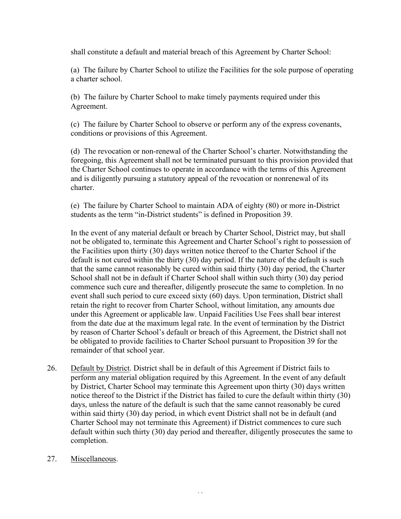shall constitute a default and material breach of this Agreement by Charter School:

(a) The failure by Charter School to utilize the Facilities for the sole purpose of operating a charter school.

(b) The failure by Charter School to make timely payments required under this Agreement.

(c) The failure by Charter School to observe or perform any of the express covenants, conditions or provisions of this Agreement.

(d) The revocation or non-renewal of the Charter School's charter. Notwithstanding the foregoing, this Agreement shall not be terminated pursuant to this provision provided that the Charter School continues to operate in accordance with the terms of this Agreement and is diligently pursuing a statutory appeal of the revocation or nonrenewal of its charter.

(e) The failure by Charter School to maintain ADA of eighty (80) or more in-District students as the term "in-District students" is defined in Proposition 39.

In the event of any material default or breach by Charter School, District may, but shall not be obligated to, terminate this Agreement and Charter School's right to possession of the Facilities upon thirty (30) days written notice thereof to the Charter School if the default is not cured within the thirty (30) day period. If the nature of the default is such that the same cannot reasonably be cured within said thirty (30) day period, the Charter School shall not be in default if Charter School shall within such thirty (30) day period commence such cure and thereafter, diligently prosecute the same to completion. In no event shall such period to cure exceed sixty (60) days. Upon termination, District shall retain the right to recover from Charter School, without limitation, any amounts due under this Agreement or applicable law. Unpaid Facilities Use Fees shall bear interest from the date due at the maximum legal rate. In the event of termination by the District by reason of Charter School's default or breach of this Agreement, the District shall not be obligated to provide facilities to Charter School pursuant to Proposition 39 for the remainder of that school year.

- 26. Default by District. District shall be in default of this Agreement if District fails to perform any material obligation required by this Agreement. In the event of any default by District, Charter School may terminate this Agreement upon thirty (30) days written notice thereof to the District if the District has failed to cure the default within thirty (30) days, unless the nature of the default is such that the same cannot reasonably be cured within said thirty (30) day period, in which event District shall not be in default (and Charter School may not terminate this Agreement) if District commences to cure such default within such thirty (30) day period and thereafter, diligently prosecutes the same to completion.
- 27. Miscellaneous.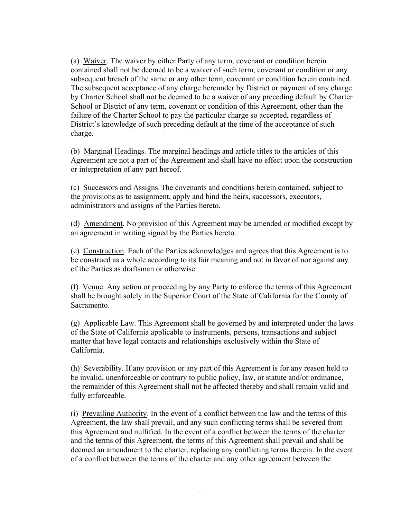(a) Waiver. The waiver by either Party of any term, covenant or condition herein contained shall not be deemed to be a waiver of such term, covenant or condition or any subsequent breach of the same or any other term, covenant or condition herein contained. The subsequent acceptance of any charge hereunder by District or payment of any charge by Charter School shall not be deemed to be a waiver of any preceding default by Charter School or District of any term, covenant or condition of this Agreement, other than the failure of the Charter School to pay the particular charge so accepted, regardless of District's knowledge of such preceding default at the time of the acceptance of such charge.

(b) Marginal Headings. The marginal headings and article titles to the articles of this Agreement are not a part of the Agreement and shall have no effect upon the construction or interpretation of any part hereof.

(c) Successors and Assigns. The covenants and conditions herein contained, subject to the provisions as to assignment, apply and bind the heirs, successors, executors, administrators and assigns of the Parties hereto.

(d) Amendment. No provision of this Agreement may be amended or modified except by an agreement in writing signed by the Parties hereto.

(e) Construction. Each of the Parties acknowledges and agrees that this Agreement is to be construed as a whole according to its fair meaning and not in favor of nor against any of the Parties as draftsman or otherwise.

(f) Venue. Any action or proceeding by any Party to enforce the terms of this Agreement shall be brought solely in the Superior Court of the State of California for the County of Sacramento.

(g) Applicable Law. This Agreement shall be governed by and interpreted under the laws of the State of California applicable to instruments, persons, transactions and subject matter that have legal contacts and relationships exclusively within the State of California.

(h) Severability. If any provision or any part of this Agreement is for any reason held to be invalid, unenforceable or contrary to public policy, law, or statute and/or ordinance, the remainder of this Agreement shall not be affected thereby and shall remain valid and fully enforceable.

(i) Prevailing Authority. In the event of a conflict between the law and the terms of this Agreement, the law shall prevail, and any such conflicting terms shall be severed from this Agreement and nullified. In the event of a conflict between the terms of the charter and the terms of this Agreement, the terms of this Agreement shall prevail and shall be deemed an amendment to the charter, replacing any conflicting terms therein. In the event of a conflict between the terms of the charter and any other agreement between the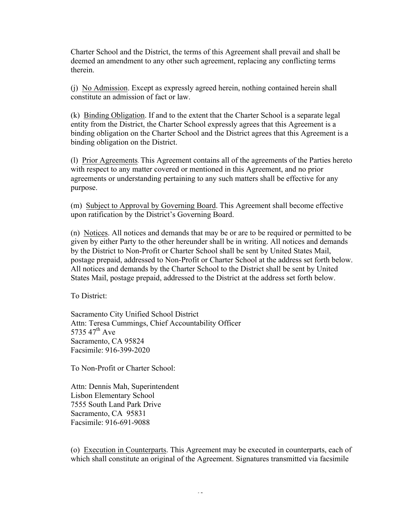Charter School and the District, the terms of this Agreement shall prevail and shall be deemed an amendment to any other such agreement, replacing any conflicting terms therein.

(j) No Admission. Except as expressly agreed herein, nothing contained herein shall constitute an admission of fact or law.

(k) Binding Obligation. If and to the extent that the Charter School is a separate legal entity from the District, the Charter School expressly agrees that this Agreement is a binding obligation on the Charter School and the District agrees that this Agreement is a binding obligation on the District.

(l) Prior Agreements. This Agreement contains all of the agreements of the Parties hereto with respect to any matter covered or mentioned in this Agreement, and no prior agreements or understanding pertaining to any such matters shall be effective for any purpose.

(m) Subject to Approval by Governing Board. This Agreement shall become effective upon ratification by the District's Governing Board.

(n) Notices. All notices and demands that may be or are to be required or permitted to be given by either Party to the other hereunder shall be in writing. All notices and demands by the District to Non-Profit or Charter School shall be sent by United States Mail, postage prepaid, addressed to Non-Profit or Charter School at the address set forth below. All notices and demands by the Charter School to the District shall be sent by United States Mail, postage prepaid, addressed to the District at the address set forth below.

To District:

Sacramento City Unified School District Attn: Teresa Cummings, Chief Accountability Officer 5735.47<sup>th</sup> Ave Sacramento, CA 95824 Facsimile: 916-399-2020

To Non-Profit or Charter School:

Attn: Dennis Mah, Superintendent Lisbon Elementary School 7555 South Land Park Drive Sacramento, CA 95831 Facsimile: 916-691-9088

(o) Execution in Counterparts. This Agreement may be executed in counterparts, each of which shall constitute an original of the Agreement. Signatures transmitted via facsimile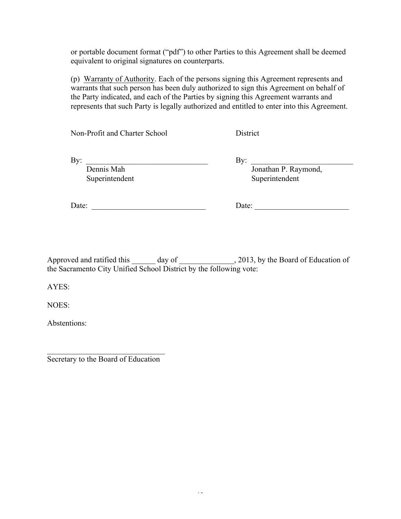or portable document format ("pdf") to other Parties to this Agreement shall be deemed equivalent to original signatures on counterparts.

(p) Warranty of Authority. Each of the persons signing this Agreement represents and warrants that such person has been duly authorized to sign this Agreement on behalf of the Party indicated, and each of the Parties by signing this Agreement warrants and represents that such Party is legally authorized and entitled to enter into this Agreement.

Non-Profit and Charter School District

By: \_\_\_\_\_\_\_\_\_\_\_\_\_\_\_\_\_\_\_\_\_\_\_\_\_\_\_\_\_\_\_ By: \_\_\_\_\_\_\_\_\_\_\_\_\_\_\_\_\_\_\_\_\_\_\_\_\_\_ Dennis Mah **Dennis Mah** Jonathan P. Raymond, Superintendent Superintendent

Date: \_\_\_\_\_\_\_\_\_\_\_\_\_\_\_\_\_\_\_\_\_\_\_\_\_\_\_\_\_ Date: \_\_\_\_\_\_\_\_\_\_\_\_\_\_\_\_\_\_\_\_\_\_\_\_

Approved and ratified this day of  $\qquad \qquad$ , 2013, by the Board of Education of the Sacramento City Unified School District by the following vote:

AYES:

NOES:

Abstentions:

 $\mathcal{L}_\text{max}$ Secretary to the Board of Education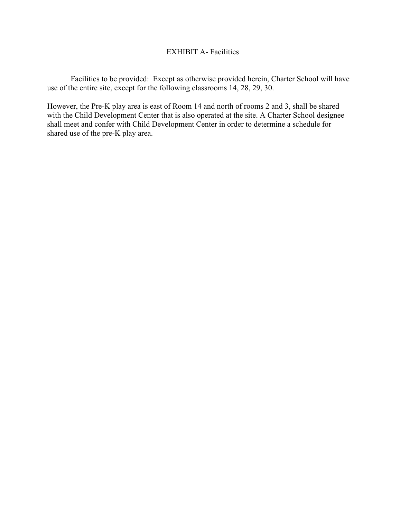# EXHIBIT A- Facilities

Facilities to be provided: Except as otherwise provided herein, Charter School will have use of the entire site, except for the following classrooms 14, 28, 29, 30.

However, the Pre-K play area is east of Room 14 and north of rooms 2 and 3, shall be shared with the Child Development Center that is also operated at the site. A Charter School designee shall meet and confer with Child Development Center in order to determine a schedule for shared use of the pre-K play area.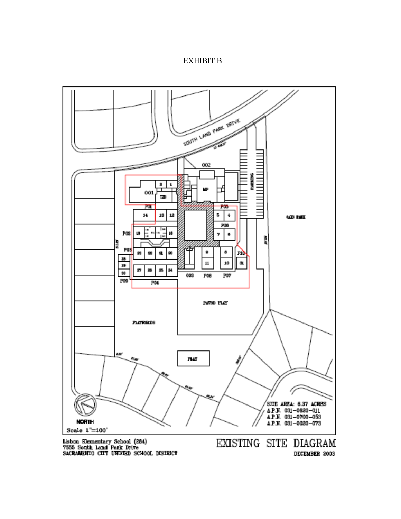#### EXHIBIT B



DECEMBER 2003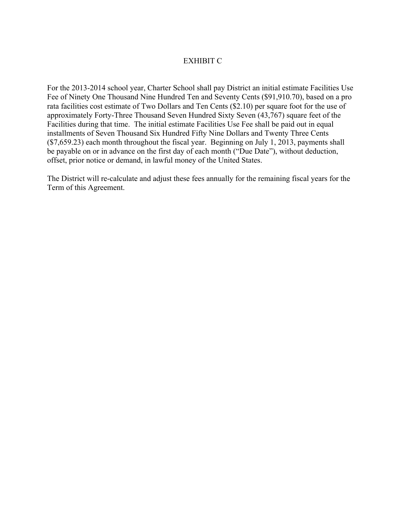# EXHIBIT C

For the 2013-2014 school year, Charter School shall pay District an initial estimate Facilities Use Fee of Ninety One Thousand Nine Hundred Ten and Seventy Cents (\$91,910.70), based on a pro rata facilities cost estimate of Two Dollars and Ten Cents (\$2.10) per square foot for the use of approximately Forty-Three Thousand Seven Hundred Sixty Seven (43,767) square feet of the Facilities during that time. The initial estimate Facilities Use Fee shall be paid out in equal installments of Seven Thousand Six Hundred Fifty Nine Dollars and Twenty Three Cents (\$7,659.23) each month throughout the fiscal year. Beginning on July 1, 2013, payments shall be payable on or in advance on the first day of each month ("Due Date"), without deduction, offset, prior notice or demand, in lawful money of the United States.

The District will re-calculate and adjust these fees annually for the remaining fiscal years for the Term of this Agreement.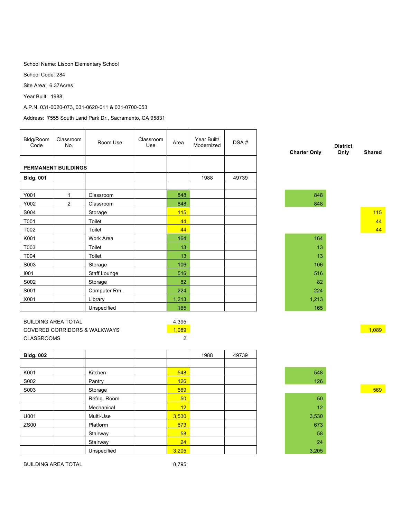School Name: Lisbon Elementary School

School Code: 284

Site Area: 6.37Acres

Year Built: 1988

A.P.N. 031-0020-073, 031-0620-011 & 031-0700-053

Address: 7555 South Land Park Dr., Sacramento, CA 95831

| <b>District</b><br>Only<br>Shared |
|-----------------------------------|
|                                   |
|                                   |
|                                   |
|                                   |
| 115                               |
| 44                                |
| 44                                |
|                                   |
|                                   |
|                                   |
|                                   |
|                                   |
|                                   |
|                                   |
|                                   |
|                                   |
|                                   |
| 1,089                             |
|                                   |
|                                   |

| <b>Bldg. 002</b> |              |                 | 1988 | 49739 |       |
|------------------|--------------|-----------------|------|-------|-------|
|                  |              |                 |      |       |       |
| K001             | Kitchen      | 548             |      |       | 548   |
| S002             | Pantry       | 126             |      |       | 126   |
| S003             | Storage      | 569             |      |       |       |
|                  | Refrig. Room | 50 <sub>2</sub> |      |       | 50    |
|                  | Mechanical   | 12              |      |       | 12    |
| U001             | Multi-Use    | 3,530           |      |       | 3,530 |
| ZS00             | Platform     | 673             |      |       | 673   |
|                  | Stairway     | 58              |      |       | 58    |
|                  | Stairway     | 24              |      |       | 24    |
|                  | Unspecified  | 3,205           |      |       | 3,205 |



BUILDING AREA TOTAL 8,795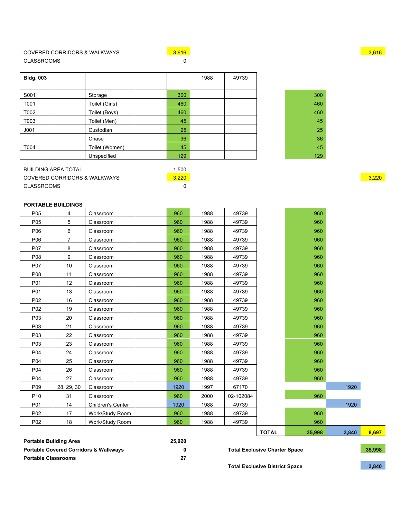## COVERED CORRIDORS & WALKWAYS **3,616** 3,616 3,616 3,616 3,616 3,616 3,616 3,616 3,616 3,616 3,616 3,616 3,616 3,616 CLASSROOMS 0

| <b>Bldg. 003</b> |                |     | 1988 | 49739 |  |
|------------------|----------------|-----|------|-------|--|
|                  |                |     |      |       |  |
| S001             | Storage        | 300 |      |       |  |
| T001             | Toilet (Girls) | 460 |      |       |  |
| T002             | Toilet (Boys)  | 460 |      |       |  |
| T003             | Toilet (Men)   | 45  |      |       |  |
| J <sub>001</sub> | Custodian      | 25  |      |       |  |
|                  | Chase          | 36  |      |       |  |
| T004             | Toilet (Women) | 45  |      |       |  |
|                  | Unspecified    | 129 |      |       |  |

| 300 |
|-----|
| 460 |
| 460 |
| 45  |
| 25  |
| 36  |
| 45  |
| 129 |

| BUILDING AREA TOTAL          | .500  |       |
|------------------------------|-------|-------|
| COVERED CORRIDORS & WALKWAYS | 3.220 | 3.220 |
| CLASSROOMS                   |       |       |

#### **PORTABLE BUILDINGS**

| P05             | 4              | Classroom         | 960  | 1988 | 49739     |              | 960    |       |       |
|-----------------|----------------|-------------------|------|------|-----------|--------------|--------|-------|-------|
| P05             | 5              | Classroom         | 960  | 1988 | 49739     |              | 960    |       |       |
| P06             | 6              | Classroom         | 960  | 1988 | 49739     |              | 960    |       |       |
| P06             | $\overline{7}$ | Classroom         | 960  | 1988 | 49739     |              | 960    |       |       |
| P07             | 8              | Classroom         | 960  | 1988 | 49739     |              | 960    |       |       |
| P08             | 9              | Classroom         | 960  | 1988 | 49739     |              | 960    |       |       |
| P07             | 10             | Classroom         | 960  | 1988 | 49739     |              | 960    |       |       |
| P08             | 11             | Classroom         | 960  | 1988 | 49739     |              | 960    |       |       |
| P01             | 12             | Classroom         | 960  | 1988 | 49739     |              | 960    |       |       |
| P01             | 13             | Classroom         | 960  | 1988 | 49739     |              | 960    |       |       |
| P02             | 16             | Classroom         | 960  | 1988 | 49739     |              | 960    |       |       |
| P02             | 19             | Classroom         | 960  | 1988 | 49739     |              | 960    |       |       |
| P03             | 20             | Classroom         | 960  | 1988 | 49739     |              | 960    |       |       |
| P03             | 21             | Classroom         | 960  | 1988 | 49739     |              | 960    |       |       |
| P03             | 22             | Classroom         | 960  | 1988 | 49739     |              | 960    |       |       |
| P03             | 23             | Classroom         | 960  | 1988 | 49739     |              | 960    |       |       |
| P04             | 24             | Classroom         | 960  | 1988 | 49739     |              | 960    |       |       |
| P04             | 25             | Classroom         | 960  | 1988 | 49739     |              | 960    |       |       |
| P04             | 26             | Classroom         | 960  | 1988 | 49739     |              | 960    |       |       |
| P04             | 27             | Classroom         | 960  | 1988 | 49739     |              | 960    |       |       |
| P09             | 28, 29, 30     | Classroom         | 1920 | 1997 | 67170     |              |        | 1920  |       |
| P <sub>10</sub> | 31             | Classroom         | 960  | 2000 | 02-102084 |              | 960    |       |       |
| P01             | 14             | Children's Center | 1920 | 1988 | 49739     |              |        | 1920  |       |
| P02             | 17             | Work/Study Room   | 960  | 1988 | 49739     |              | 960    |       |       |
| P02             | 18             | Work/Study Room   | 960  | 1988 | 49739     |              | 960    |       |       |
|                 |                |                   |      |      |           | <b>TOTAL</b> | 35,998 | 3,840 | 8,697 |
|                 |                |                   |      |      |           |              |        |       |       |

| <b>Portable Building Area</b>                    | 25.920 |
|--------------------------------------------------|--------|
| <b>Portable Covered Corridors &amp; Walkwavs</b> |        |
| <b>Portable Classrooms</b>                       |        |

**Total Exclusive District Space 1988 1988 1988 1988 1988 1988 1988 1988 1988 1988 1989 1988 1989 1988 1989 1989 1989 1989 1989 1989 1989 1989 1989 1989 1989 1989 1989**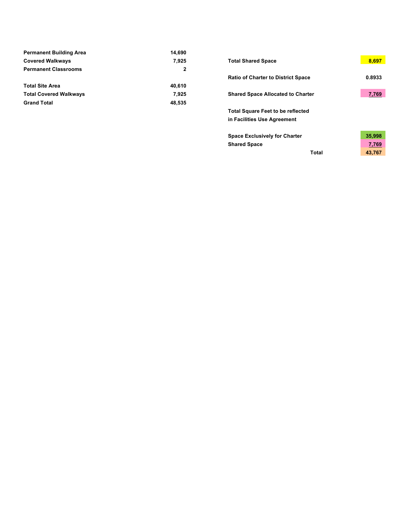| <b>Permanent Building Area</b> | 14.690         |                                           |        |
|--------------------------------|----------------|-------------------------------------------|--------|
| <b>Covered Walkways</b>        | 7,925          | <b>Total Shared Space</b>                 | 8.697  |
| <b>Permanent Classrooms</b>    | $\overline{2}$ |                                           |        |
|                                |                | <b>Ratio of Charter to District Space</b> | 0.8933 |
| <b>Total Site Area</b>         | 40.610         |                                           |        |
| <b>Total Covered Walkways</b>  | 7.925          | <b>Shared Space Allocated to Charter</b>  | 7,769  |
| <b>Grand Total</b>             | 48.535         |                                           |        |

| <b>Total Shared Space</b>                                               | 8,697  |
|-------------------------------------------------------------------------|--------|
| <b>Ratio of Charter to District Space</b>                               | 0.8933 |
| <b>Shared Space Allocated to Charter</b>                                | 7,769  |
| <b>Total Square Feet to be reflected</b><br>in Facilities Use Agreement |        |
| <b>Space Exclusively for Charter</b>                                    | 35,998 |
| <b>Shared Space</b>                                                     | 7,769  |
| Total                                                                   | 43.767 |